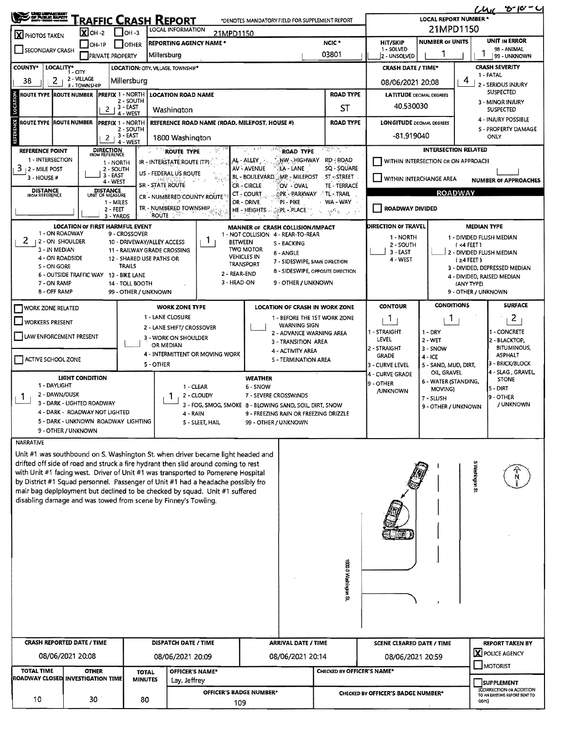| OF PUBLIC BUYER<br><u> Fraffic Crash Report</u>                       |                                                              |                                    |                                           |                                                                  |                                                                                                                                                     |                                                                                                                                                                       |                                            |                                                            |                                                                | そールーム<br>Chư<br><b>LOCAL REPORT NUMBER *</b>                  |                                    |                                                             |                                      |  |
|-----------------------------------------------------------------------|--------------------------------------------------------------|------------------------------------|-------------------------------------------|------------------------------------------------------------------|-----------------------------------------------------------------------------------------------------------------------------------------------------|-----------------------------------------------------------------------------------------------------------------------------------------------------------------------|--------------------------------------------|------------------------------------------------------------|----------------------------------------------------------------|---------------------------------------------------------------|------------------------------------|-------------------------------------------------------------|--------------------------------------|--|
| $\overline{\mathbf{X}}$ OH -2<br>$I$ OH -3                            |                                                              |                                    |                                           |                                                                  | *DENOTES MANDATORY FIELD FOR SUPPLEMENT REPORT<br>LOCAL INFORMATION                                                                                 |                                                                                                                                                                       |                                            |                                                            |                                                                | 21MPD1150                                                     |                                    |                                                             |                                      |  |
| X PHOTOS TAKEN<br>$\Box$ OH-1P<br><b>TOTHER</b>                       |                                                              |                                    |                                           | 21MPD1150<br>NCIC <sup>*</sup><br><b>REPORTING AGENCY NAME *</b> |                                                                                                                                                     |                                                                                                                                                                       |                                            | UNIT IN ERROR<br><b>NUMBER OF UNITS</b><br><b>HIT/SKIP</b> |                                                                |                                                               |                                    |                                                             |                                      |  |
| SECONDARY CRASH<br>PRIVATE PROPERTY                                   |                                                              |                                    |                                           | Millersburg                                                      |                                                                                                                                                     |                                                                                                                                                                       |                                            | 03801                                                      | 1 - SOLVED<br>2 - UNSOLVED                                     |                                                               |                                    | 98 - ANIMAL<br>99 - UNKNOWN                                 |                                      |  |
| <b>COUNTY*</b><br>LOCALITY* CITY                                      |                                                              |                                    |                                           |                                                                  | LOCATION: CITY, VILLAGE, TOWNSHIP*                                                                                                                  |                                                                                                                                                                       |                                            |                                                            | <b>CRASH DATE / TIME*</b>                                      | <b>CRASH SEVERITY</b>                                         |                                    |                                                             |                                      |  |
| 38                                                                    | 2 - VILLAGE<br>2 <sub>1</sub><br>Millersburg<br>3 - TOWNSHIP |                                    |                                           |                                                                  |                                                                                                                                                     |                                                                                                                                                                       |                                            |                                                            | 1 - FATAL<br>4<br>08/06/2021 20:08<br>2 - SERIOUS INJURY       |                                                               |                                    |                                                             |                                      |  |
| <b>ROUTE TYPE ROUTE NUMBER</b><br><b>PREFIX 1 - NORTH</b>             |                                                              |                                    |                                           |                                                                  | <b>LOCATION ROAD NAME</b>                                                                                                                           |                                                                                                                                                                       |                                            |                                                            | <b>ROAD TYPE</b>                                               | <b>LATITUDE DECIMAL DEGREES</b>                               | <b>SUSPECTED</b>                   |                                                             |                                      |  |
| LOCATION<br>2 - SOUTH<br>$2 + 3 - EAST$                               |                                                              |                                    |                                           |                                                                  | Washington                                                                                                                                          |                                                                                                                                                                       |                                            |                                                            | <b>ST</b>                                                      | 40.530030                                                     |                                    |                                                             | 3 - MINOR INJURY<br><b>SUSPECTED</b> |  |
| 4 - WEST<br><b>ROUTE TYPE ROUTE NUMBER</b><br><b>PREFIX 1 - NORTH</b> |                                                              |                                    |                                           |                                                                  | REFERENCE ROAD NAME (ROAD, MILEPOST, HOUSE #)                                                                                                       |                                                                                                                                                                       |                                            |                                                            | <b>ROAD TYPE</b>                                               | <b>LONGITUDE</b> DECIMAL DEGREES                              |                                    |                                                             | 4 - INJURY POSSIBLE                  |  |
| REFERENCE<br>2 - SOUTH<br>$2 + 3 - EAST$                              |                                                              |                                    |                                           |                                                                  | 1800 Washington                                                                                                                                     |                                                                                                                                                                       |                                            |                                                            |                                                                | -81.919040                                                    | 5 - PROPERTY DAMAGE<br>ONLY        |                                                             |                                      |  |
| <b>REFERENCE POINT</b>                                                |                                                              | <b>DIRECTION</b><br>FROM REFERENCE | 4 - WEST                                  |                                                                  | ROUTE TYPE                                                                                                                                          |                                                                                                                                                                       |                                            | <b>ROAD TYPE</b>                                           | -0850),                                                        |                                                               | <b>INTERSECTION RELATED</b>        |                                                             |                                      |  |
| 1 - INTERSECTION                                                      |                                                              |                                    | 1 - NORTH                                 |                                                                  | IR - INTERSTATE ROUTE (TP)                                                                                                                          |                                                                                                                                                                       | AL - ALLEY                                 | <b>HW - HIGHWAY</b>                                        | RD - ROAD                                                      |                                                               | WITHIN INTERSECTION OR ON APPROACH |                                                             |                                      |  |
| 3<br>2 - MILE POST<br>$3 - HOUSE +$                                   |                                                              |                                    | 2 - SOUTH<br>$3 - EAST$                   |                                                                  | US - FEDERAL US ROUTE                                                                                                                               |                                                                                                                                                                       | AV-AVENUE<br>BL - BOULEVARD, MP - MILEPOST | LA - LANE                                                  | .SQ - SQUARE<br>$-$ ST $\sim$ STREET                           |                                                               |                                    |                                                             |                                      |  |
| <b>DISTANCE</b>                                                       |                                                              |                                    | 4 - WEST                                  | <b>SR - STATE ROUTE</b>                                          |                                                                                                                                                     |                                                                                                                                                                       | CR - CIRCLE                                | OV - OVAL                                                  | TE - TERRACE                                                   | WITHIN INTERCHANGE AREA<br><b>NUMBER OF APPROACHES</b>        |                                    |                                                             |                                      |  |
| FROM REFERENCE                                                        |                                                              | DISTANCE<br>UNIT OF MEASURE        | 1 - MILES                                 |                                                                  | CT - COURT<br>PK - PARKWAY<br>CR - NUMBERED COUNTY ROUTE <sup>®</sup><br>DR - DRIVE<br>PI - PIKE                                                    |                                                                                                                                                                       |                                            |                                                            | TL-TRAIL<br>WA-WAY                                             |                                                               |                                    | <b>ROADWAY</b>                                              |                                      |  |
|                                                                       |                                                              |                                    | 2 - FEET<br>3 - YARDS                     | `ROUTE ? ®                                                       | TR - NUMBERED TOWNSHIP                                                                                                                              |                                                                                                                                                                       | HE - HEIGHTS . PLACE                       |                                                            | 化乙烯酸盐 医牙科                                                      | ROADWAY DIVIDED                                               |                                    |                                                             |                                      |  |
|                                                                       |                                                              |                                    | <b>LOCATION OF FIRST HARMFUL EVENT</b>    |                                                                  |                                                                                                                                                     |                                                                                                                                                                       | MANNER OF CRASH COLLISION/IMPACT           |                                                            |                                                                | DIRECTION OF TRAVEL                                           | <b>MEDIAN TYPE</b>                 |                                                             |                                      |  |
| 2                                                                     | 1 - ON ROADWAY<br>12 - ON SHOULDER                           |                                    | 9 - CROSSOVER                             |                                                                  |                                                                                                                                                     | $\mathbb{1}$                                                                                                                                                          | 1 - NOT COLLISION 4 - REAR-TO-REAR         |                                                            |                                                                | 1 - NORTH                                                     |                                    |                                                             | 1 - DIVIDED FLUSH MEDIAN             |  |
|                                                                       | 3 - IN MEDIAN                                                |                                    |                                           |                                                                  | 10 - DRIVEWAY/ALLEY ACCESS<br><b>BETWEEN</b><br>S - BACKING<br><b>TWO MOTOR</b><br>11 - RAILWAY GRADE CROSSING<br>6 - ANGLE                         |                                                                                                                                                                       |                                            |                                                            | 2 - SOUTH<br>$3 - EAST$                                        | $(4$ FEET)<br>2 - DIVIDED FLUSH MEDIAN                        |                                    |                                                             |                                      |  |
| S - ON GORE                                                           | 4 - ON ROADSIDE                                              |                                    | 12 - SHARED USE PATHS OR<br><b>TRAILS</b> |                                                                  |                                                                                                                                                     |                                                                                                                                                                       | <b>VEHICLES IN</b><br>TRANSPORT            | 7 - SIDESWIPE, SAME DIRECTION                              |                                                                | 4 - WEST                                                      |                                    |                                                             |                                      |  |
|                                                                       |                                                              |                                    | 6 - OUTSIDE TRAFFIC WAY 13 - BIKE LANE    |                                                                  |                                                                                                                                                     | 2 - REAR-END                                                                                                                                                          |                                            |                                                            | 8 - SIDESWIPE, OPPOSITE DIRECTION                              |                                                               |                                    | 3 - DIVIDED, DEPRESSED MEDIAN<br>4 - DIVIDED, RAISED MEDIAN |                                      |  |
| 7 - ON RAMP                                                           | 8 - OFF RAMP                                                 |                                    | 14 - TOLL BOOTH<br>99 - OTHER / UNKNOWN   |                                                                  | 3 - HEAD-ON<br>9 - OTHER / UNKNOWN                                                                                                                  |                                                                                                                                                                       |                                            |                                                            |                                                                |                                                               |                                    | (ANY TYPE)<br>9 - OTHER / UNKNOWN                           |                                      |  |
|                                                                       |                                                              |                                    |                                           |                                                                  |                                                                                                                                                     |                                                                                                                                                                       |                                            |                                                            |                                                                | <b>CONTOUR</b>                                                | <b>CONDITIONS</b>                  |                                                             | <b>SURFACE</b>                       |  |
| ] WORK ZONE RELATED                                                   |                                                              |                                    |                                           |                                                                  | <b>WORK ZONE TYPE</b><br>1 - LANE CLOSURE                                                                                                           |                                                                                                                                                                       |                                            |                                                            | LOCATION OF CRASH IN WORK ZONE<br>1 - BEFORE THE 1ST WORK ZONE | $\mathbf{1}$                                                  | 1                                  |                                                             | $\mathbf{2}$                         |  |
| VORKERS PRESENT                                                       |                                                              |                                    |                                           |                                                                  | 2 - LANE SHIFT/ CROSSOVER                                                                                                                           |                                                                                                                                                                       |                                            | WARNING SIGN                                               |                                                                |                                                               |                                    |                                                             |                                      |  |
| LAW ENFORCEMENT PRESENT                                               |                                                              |                                    |                                           |                                                                  | 3 - WORK ON SHOULDER                                                                                                                                |                                                                                                                                                                       |                                            | 2 - ADVANCE WARNING AREA                                   |                                                                | 1 - STRAIGHT<br>LEVEL                                         | $1 - DRY$<br>2 - WET               |                                                             | - CONCRETE<br>2 - BLACKTOP,          |  |
|                                                                       |                                                              |                                    |                                           |                                                                  | OR MEDIAN                                                                                                                                           | 4 - INTERMITTENT OR MOVING WORK                                                                                                                                       | 3 - TRANSITION AREA<br>4 - ACTIVITY AREA   |                                                            |                                                                | 2 - STRAIGHT<br>3 - SNOW                                      |                                    |                                                             | <b>BITUMINOUS,</b>                   |  |
| ACTIVE SCHOOL ZONE                                                    |                                                              |                                    |                                           | 5 - OTHER                                                        |                                                                                                                                                     |                                                                                                                                                                       |                                            | S - TERMINATION AREA                                       |                                                                | <b>GRADE</b><br>3 - CURVE LEVEL                               | $4 - ICE$<br>5 - SAND, MUD, DIRT,  |                                                             | <b>ASPHALT</b><br>3 - BRICK/BLOCK    |  |
|                                                                       | <b>LIGHT CONDITION</b>                                       |                                    |                                           |                                                                  |                                                                                                                                                     |                                                                                                                                                                       | <b>WEATHER</b>                             |                                                            |                                                                | 4 - CURVE GRADE                                               | OIL GRAVEL                         |                                                             | 4 - SLAG, GRAVEL<br><b>STONE</b>     |  |
| 1 - DAYLIGHT                                                          |                                                              |                                    |                                           |                                                                  | 1 - CLEAR                                                                                                                                           |                                                                                                                                                                       | 6 - SNOW                                   |                                                            |                                                                | 9 - OTHER                                                     | 6 - WATER (STANDING,<br>MOVING)    |                                                             | $5 - DIRT$                           |  |
| Т.                                                                    | 2 - DAWN/DUSK<br>3 - DARK - LIGHTED ROADWAY                  |                                    |                                           |                                                                  | 2 - CLOUDY<br>7 - SEVERE CROSSWINDS<br>3 - FOG, SMOG, SMOKE 8 - BLOWING SAND, SOIL, DIRT, SNOW<br>4 - RAIN<br>9 - FREEZING RAIN OR FREEZING DRIZZLE |                                                                                                                                                                       |                                            |                                                            | <b>JUNKNOWN</b>                                                | 7 - SLUSH                                                     |                                    | 9 - OTHER                                                   |                                      |  |
|                                                                       | 4 - DARK - ROADWAY NOT LIGHTED                               |                                    |                                           |                                                                  |                                                                                                                                                     |                                                                                                                                                                       |                                            |                                                            |                                                                |                                                               | 9 - OTHER / UNKNOWN                |                                                             | / UNKNOWN                            |  |
|                                                                       |                                                              |                                    | 5 - DARK - UNKNOWN ROADWAY LIGHTING       |                                                                  | 5 - SLEET, HAIL<br>99 - OTHER / UNKNOWN                                                                                                             |                                                                                                                                                                       |                                            |                                                            |                                                                |                                                               |                                    |                                                             |                                      |  |
|                                                                       | 9 - OTHER / UNKNOWN                                          |                                    |                                           |                                                                  |                                                                                                                                                     |                                                                                                                                                                       |                                            |                                                            |                                                                |                                                               |                                    |                                                             |                                      |  |
| <b>NARRATIVE</b>                                                      |                                                              |                                    |                                           |                                                                  |                                                                                                                                                     |                                                                                                                                                                       |                                            |                                                            |                                                                |                                                               |                                    |                                                             |                                      |  |
|                                                                       |                                                              |                                    |                                           |                                                                  |                                                                                                                                                     | Unit #1 was southbound on S. Washington St. when driver became light headed and<br>drifted off side of road and struck a fire hydrant then slid around coming to rest |                                            |                                                            |                                                                |                                                               |                                    |                                                             |                                      |  |
|                                                                       |                                                              |                                    |                                           |                                                                  |                                                                                                                                                     | with Unit #1 facing west. Driver of Unit #1 was transported to Pomerene Hospital                                                                                      |                                            |                                                            |                                                                |                                                               |                                    |                                                             |                                      |  |
|                                                                       |                                                              |                                    |                                           |                                                                  |                                                                                                                                                     | by District #1 Squad personnel. Passenger of Unit #1 had a headache possibly fro                                                                                      |                                            |                                                            |                                                                |                                                               |                                    | S Medingan S                                                |                                      |  |
| disabling damage and was towed from scene by Finney's Towiing.        |                                                              |                                    |                                           |                                                                  |                                                                                                                                                     | mair bag deplployment but declined to be checked by squad. Unit #1 suffered                                                                                           |                                            |                                                            |                                                                |                                                               |                                    |                                                             |                                      |  |
|                                                                       |                                                              |                                    |                                           |                                                                  |                                                                                                                                                     |                                                                                                                                                                       |                                            |                                                            |                                                                |                                                               |                                    |                                                             |                                      |  |
|                                                                       |                                                              |                                    |                                           |                                                                  |                                                                                                                                                     |                                                                                                                                                                       |                                            |                                                            |                                                                |                                                               |                                    |                                                             |                                      |  |
|                                                                       |                                                              |                                    |                                           |                                                                  |                                                                                                                                                     |                                                                                                                                                                       |                                            |                                                            |                                                                |                                                               |                                    |                                                             |                                      |  |
|                                                                       |                                                              |                                    |                                           |                                                                  |                                                                                                                                                     |                                                                                                                                                                       |                                            |                                                            |                                                                |                                                               |                                    |                                                             |                                      |  |
|                                                                       |                                                              |                                    |                                           |                                                                  |                                                                                                                                                     |                                                                                                                                                                       |                                            |                                                            |                                                                |                                                               |                                    |                                                             |                                      |  |
|                                                                       |                                                              |                                    |                                           |                                                                  |                                                                                                                                                     |                                                                                                                                                                       |                                            | 1800 S Washington St                                       |                                                                |                                                               |                                    |                                                             |                                      |  |
|                                                                       |                                                              |                                    |                                           |                                                                  |                                                                                                                                                     |                                                                                                                                                                       |                                            |                                                            |                                                                |                                                               |                                    |                                                             |                                      |  |
|                                                                       |                                                              |                                    |                                           |                                                                  |                                                                                                                                                     |                                                                                                                                                                       |                                            |                                                            |                                                                |                                                               |                                    |                                                             |                                      |  |
|                                                                       |                                                              |                                    |                                           |                                                                  |                                                                                                                                                     |                                                                                                                                                                       |                                            |                                                            |                                                                |                                                               |                                    |                                                             |                                      |  |
|                                                                       |                                                              |                                    |                                           |                                                                  |                                                                                                                                                     |                                                                                                                                                                       |                                            |                                                            |                                                                |                                                               |                                    |                                                             |                                      |  |
|                                                                       |                                                              |                                    |                                           |                                                                  |                                                                                                                                                     |                                                                                                                                                                       |                                            |                                                            |                                                                |                                                               |                                    |                                                             |                                      |  |
| <b>CRASH REPORTED DATE / TIME</b>                                     |                                                              |                                    |                                           | DISPATCH DATE / TIME                                             |                                                                                                                                                     |                                                                                                                                                                       |                                            | <b>ARRIVAL DATE / TIME</b>                                 |                                                                | <b>SCENE CLEARED DATE / TIME</b>                              |                                    | <b>REPORT TAKEN BY</b>                                      |                                      |  |
| 08/06/2021 20:08                                                      |                                                              |                                    |                                           |                                                                  | 08/06/2021 20:09<br>08/06/2021 20:14                                                                                                                |                                                                                                                                                                       |                                            |                                                            | <b>X</b> POLICE AGENCY<br>08/06/2021 20:59                     |                                                               |                                    |                                                             |                                      |  |
| <b>TOTAL TIME</b>                                                     |                                                              | <b>OTHER</b>                       |                                           | <b>TOTAL</b>                                                     | OFFICER'S NAME*                                                                                                                                     |                                                                                                                                                                       |                                            |                                                            |                                                                | CHECKED BY OFFICER'S NAME*                                    |                                    |                                                             | MOTORIST                             |  |
| ROADWAY CLOSED INVESTIGATION TIME<br><b>MINUTES</b>                   |                                                              |                                    |                                           |                                                                  | Lay, Jeffrey                                                                                                                                        |                                                                                                                                                                       |                                            |                                                            |                                                                |                                                               |                                    | <b>SUPPLEMENT</b>                                           |                                      |  |
| 10<br>30<br>80                                                        |                                                              |                                    |                                           |                                                                  | OFFICER'S BADGE NUMBER*                                                                                                                             |                                                                                                                                                                       |                                            |                                                            |                                                                | (CORRECTION OR ADDITION<br>CHECKED BY OFFICER'S BADGE NUMBER* |                                    |                                                             | TO AN EXISTING REPORT SENT TO        |  |
|                                                                       |                                                              |                                    |                                           |                                                                  | 109                                                                                                                                                 |                                                                                                                                                                       |                                            |                                                            |                                                                |                                                               | ODPS)                              |                                                             |                                      |  |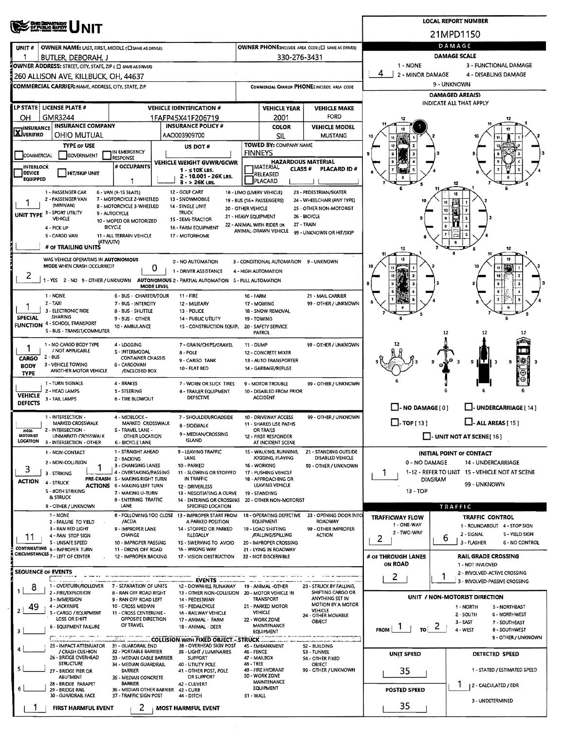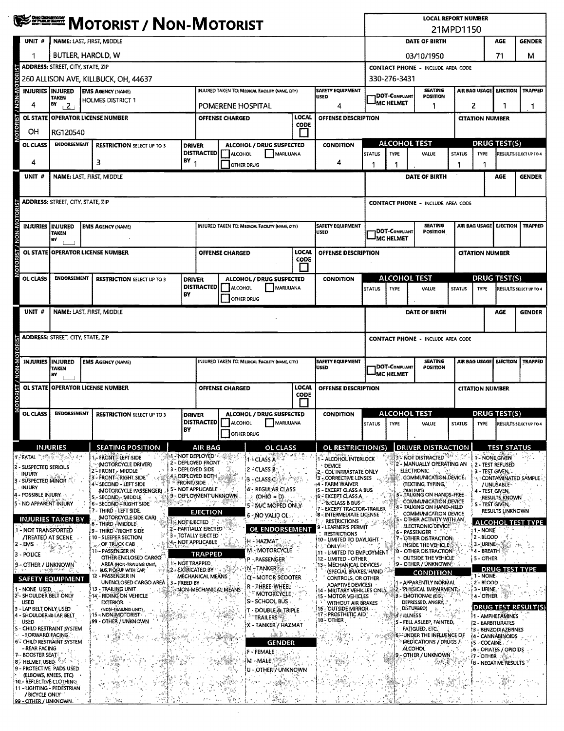|                                                                                                                                                                                                                                                                                                                                                     | <b>WE EXECTED MOTORIST / NON-MOTORIST</b>                                                                                                                                                                                      |                                                                  |                                                      |                                                        |                          |                                                                                 |                                                                         | <b>LOCAL REPORT NUMBER</b><br>21MPD1150 |                                                                              |                     |                        |                                                                   |                               |  |
|-----------------------------------------------------------------------------------------------------------------------------------------------------------------------------------------------------------------------------------------------------------------------------------------------------------------------------------------------------|--------------------------------------------------------------------------------------------------------------------------------------------------------------------------------------------------------------------------------|------------------------------------------------------------------|------------------------------------------------------|--------------------------------------------------------|--------------------------|---------------------------------------------------------------------------------|-------------------------------------------------------------------------|-----------------------------------------|------------------------------------------------------------------------------|---------------------|------------------------|-------------------------------------------------------------------|-------------------------------|--|
| UNIT#                                                                                                                                                                                                                                                                                                                                               | NAME: LAST, FIRST, MIDDLE                                                                                                                                                                                                      |                                                                  |                                                      |                                                        |                          |                                                                                 |                                                                         | DATE OF BIRTH                           |                                                                              | AGE                 | <b>GENDER</b>          |                                                                   |                               |  |
|                                                                                                                                                                                                                                                                                                                                                     | BUTLER, HAROLD, W                                                                                                                                                                                                              |                                                                  |                                                      |                                                        |                          |                                                                                 |                                                                         |                                         | 03/10/1950                                                                   |                     |                        |                                                                   | м                             |  |
|                                                                                                                                                                                                                                                                                                                                                     | <b>ADDRESS: STREET, CITY, STATE, ZIP</b>                                                                                                                                                                                       |                                                                  |                                                      |                                                        |                          |                                                                                 |                                                                         |                                         | <b>CONTACT PHONE - INCLUDE AREA CODE</b>                                     |                     |                        |                                                                   |                               |  |
|                                                                                                                                                                                                                                                                                                                                                     |                                                                                                                                                                                                                                | 260 ALLISON AVE, KILLBUCK, OH, 44637                             |                                                      |                                                        |                          |                                                                                 |                                                                         | 330-276-3431                            |                                                                              |                     |                        |                                                                   | <b>TRAPPED</b>                |  |
| <b>INJURIES INJURED</b>                                                                                                                                                                                                                                                                                                                             | TAKEN<br>BY                                                                                                                                                                                                                    | <b>EMS AGENCY (NAME)</b><br><b>HOLMES DISTRICT 1</b>             |                                                      | INJURED TAKEN TO: MEDICAL FACILITY (NAME, CITY)        |                          | <b>SAFETY EQUIPMENT</b><br><b>USED</b>                                          | <b>SEATING</b><br><b>DOT-COMPLIANT</b><br>POSITION<br><b>IMC HELMET</b> |                                         |                                                                              |                     | AIR BAG USAGE          | <b>EJECTION</b>                                                   |                               |  |
| 4                                                                                                                                                                                                                                                                                                                                                   | $+2$<br>OL STATE OPERATOR LICENSE NUMBER                                                                                                                                                                                       |                                                                  |                                                      | POMERENE HOSPITAL<br><b>OFFENSE CHARGED</b>            | 4<br>OFFENSE DESCRIPTION | 1                                                                               |                                                                         |                                         | 2<br>1<br><b>CITATION NUMBER</b>                                             |                     | 1                      |                                                                   |                               |  |
| OН                                                                                                                                                                                                                                                                                                                                                  | RG120540                                                                                                                                                                                                                       |                                                                  |                                                      |                                                        |                          |                                                                                 |                                                                         |                                         |                                                                              |                     |                        |                                                                   |                               |  |
| OL CLASS                                                                                                                                                                                                                                                                                                                                            | <b>ENDORSEMENT</b><br><b>RESTRICTION SELECT UP TO 3</b><br><b>DRIVER</b>                                                                                                                                                       |                                                                  |                                                      | ALCOHOL / DRUG SUSPECTED                               | <b>CONDITION</b>         | <b>ALCOHOL TEST</b>                                                             |                                                                         |                                         |                                                                              | <b>DRUG TEST(S)</b> |                        |                                                                   |                               |  |
|                                                                                                                                                                                                                                                                                                                                                     |                                                                                                                                                                                                                                |                                                                  |                                                      | <b>DISTRACTED</b>   ALCOHOL                            | MARUUANA                 |                                                                                 | <b>STATUS</b>                                                           | <b>TYPE</b>                             | <b>VALUE</b>                                                                 | STATUS              | <b>TYPE</b>            |                                                                   | <b>RESULTS SELECT UP TO 4</b> |  |
| 4                                                                                                                                                                                                                                                                                                                                                   | BY<br>3<br><b>NAME: LAST, FIRST, MIDDLE</b>                                                                                                                                                                                    |                                                                  |                                                      | <b>OTHER DRUG</b>                                      | 4                        |                                                                                 |                                                                         |                                         | 1                                                                            |                     |                        |                                                                   |                               |  |
| UNIT #                                                                                                                                                                                                                                                                                                                                              |                                                                                                                                                                                                                                |                                                                  |                                                      |                                                        |                          |                                                                                 |                                                                         |                                         | DATE OF BIRTH                                                                |                     |                        | AGE                                                               | <b>GENDER</b>                 |  |
|                                                                                                                                                                                                                                                                                                                                                     | <b>ADDRESS: STREET, CITY, STATE, ZIP</b>                                                                                                                                                                                       |                                                                  |                                                      |                                                        |                          |                                                                                 |                                                                         |                                         | <b>CONTACT PHONE - INCLUDE AREA CODE</b>                                     |                     |                        |                                                                   |                               |  |
|                                                                                                                                                                                                                                                                                                                                                     |                                                                                                                                                                                                                                |                                                                  |                                                      |                                                        |                          |                                                                                 |                                                                         |                                         |                                                                              |                     |                        |                                                                   |                               |  |
| INJURIES INJURED                                                                                                                                                                                                                                                                                                                                    |                                                                                                                                                                                                                                | <b>EMS AGENCY (NAME)</b>                                         |                                                      | <b>INJURED TAKEN TO: MEDICAL FACILITY (NAME, CITY)</b> |                          | <b>SAFETY EQUIPMENT</b><br>USED                                                 |                                                                         | DOT-COMPLIANT                           | <b>SEATING</b><br><b>POSITION</b>                                            |                     | AJR BAG USAGE          | <b>EJECTION</b>                                                   | <b>TRAPPED</b>                |  |
| <b>N-NON</b>                                                                                                                                                                                                                                                                                                                                        | TAKEN<br>B٧                                                                                                                                                                                                                    |                                                                  |                                                      |                                                        |                          |                                                                                 | JMC HELMET                                                              |                                         |                                                                              |                     |                        |                                                                   |                               |  |
|                                                                                                                                                                                                                                                                                                                                                     | OL STATE OPERATOR LICENSE NUMBER                                                                                                                                                                                               |                                                                  |                                                      | <b>OFFENSE CHARGED</b>                                 | LOCAL<br>CODE            | <b>OFFENSE DESCRIPTION</b>                                                      |                                                                         |                                         |                                                                              |                     | <b>CITATION NUMBER</b> |                                                                   |                               |  |
|                                                                                                                                                                                                                                                                                                                                                     |                                                                                                                                                                                                                                |                                                                  |                                                      |                                                        |                          |                                                                                 |                                                                         |                                         |                                                                              |                     |                        |                                                                   |                               |  |
| OL CLASS                                                                                                                                                                                                                                                                                                                                            | <b>ENDORSEMENT</b>                                                                                                                                                                                                             | <b>RESTRICTION SELECT UP TO 3</b>                                | <b>DRIVER</b><br><b>DISTRACTED</b>                   | ALCOHOL / DRUG SUSPECTED<br>ALCOHOL                    | MARIJUANA                | <b>CONDITION</b>                                                                | <b>STATUS</b>                                                           | <b>TYPE</b>                             | <b>ALCOHOL TEST</b><br>VALUE                                                 | <b>STATUS</b>       | <b>TYPE</b>            | <b>DRUG TEST(S)</b>                                               | <b>RESULTS SELECT UP TO 4</b> |  |
|                                                                                                                                                                                                                                                                                                                                                     |                                                                                                                                                                                                                                |                                                                  | BY                                                   | OTHER DRUG                                             |                          |                                                                                 |                                                                         |                                         |                                                                              |                     |                        |                                                                   |                               |  |
| UNIT #                                                                                                                                                                                                                                                                                                                                              | <b>NAME: LAST, FIRST, MIDDLE</b>                                                                                                                                                                                               |                                                                  |                                                      |                                                        |                          |                                                                                 |                                                                         |                                         | DATE OF BIRTH                                                                |                     |                        | <b>AGE</b>                                                        | <b>GENDER</b>                 |  |
|                                                                                                                                                                                                                                                                                                                                                     |                                                                                                                                                                                                                                |                                                                  |                                                      |                                                        |                          |                                                                                 |                                                                         |                                         |                                                                              |                     |                        |                                                                   |                               |  |
|                                                                                                                                                                                                                                                                                                                                                     | ADDRESS: STREET, CITY, STATE, ZIP                                                                                                                                                                                              |                                                                  |                                                      |                                                        |                          |                                                                                 |                                                                         |                                         | <b>CONTACT PHONE - INCLUDE AREA CODE</b>                                     |                     |                        |                                                                   |                               |  |
|                                                                                                                                                                                                                                                                                                                                                     |                                                                                                                                                                                                                                |                                                                  |                                                      |                                                        |                          |                                                                                 |                                                                         |                                         |                                                                              |                     |                        |                                                                   |                               |  |
|                                                                                                                                                                                                                                                                                                                                                     |                                                                                                                                                                                                                                |                                                                  |                                                      |                                                        |                          |                                                                                 |                                                                         |                                         |                                                                              |                     |                        |                                                                   |                               |  |
| <b>INJURIES</b>                                                                                                                                                                                                                                                                                                                                     | <b>INJURED</b><br><b>TAKEN</b>                                                                                                                                                                                                 | <b>EMS AGENCY (NAME)</b>                                         |                                                      | INJURED TAKEN TO: MEDICAL FACILITY (NAME CITY)         |                          | <b>SAFETY EQUIPMENT</b><br>lusen                                                |                                                                         | DOT-COMPLIANT                           | <b>SEATING</b><br>POSITION                                                   |                     | AIR BAG USAGE          | <b>EJECTION</b>                                                   |                               |  |
|                                                                                                                                                                                                                                                                                                                                                     | BY<br>OL STATE OPERATOR LICENSE NUMBER                                                                                                                                                                                         |                                                                  |                                                      | <b>OFFENSE CHARGED</b>                                 | LOCAL                    | OFFENSE DESCRIPTION                                                             |                                                                         | <sup>I</sup> MC HELMET                  |                                                                              |                     |                        |                                                                   |                               |  |
|                                                                                                                                                                                                                                                                                                                                                     |                                                                                                                                                                                                                                |                                                                  |                                                      |                                                        | <b>CODE</b>              |                                                                                 |                                                                         |                                         |                                                                              |                     | <b>CITATION NUMBER</b> |                                                                   |                               |  |
| OL CLASS                                                                                                                                                                                                                                                                                                                                            | <b>ENDORSEMENT</b>                                                                                                                                                                                                             | <b>RESTRICTION SELECT UP TO 3</b>                                | <b>DRIVER</b>                                        | ALCOHOL / DRUG SUSPECTED                               |                          | <b>CONDITION</b>                                                                |                                                                         |                                         | <b>ALCOHOL TEST</b>                                                          |                     |                        | <b>DRUG TEST(S)</b>                                               |                               |  |
|                                                                                                                                                                                                                                                                                                                                                     |                                                                                                                                                                                                                                |                                                                  | BY                                                   | DISTRACTED   ALCOHOL                                   | MARIJUANA                |                                                                                 | STATUS TYPE                                                             |                                         | VALUE                                                                        |                     |                        | STATUS TYPE RESULTS SELECT UP TO 4                                |                               |  |
|                                                                                                                                                                                                                                                                                                                                                     |                                                                                                                                                                                                                                |                                                                  |                                                      | OTHER DRUG                                             |                          |                                                                                 |                                                                         |                                         |                                                                              |                     |                        |                                                                   |                               |  |
| 17 FATAL DI PROFI                                                                                                                                                                                                                                                                                                                                   | <b>INJURIES</b>                                                                                                                                                                                                                | <b>SEATING POSITION</b><br>1 - FRONT - LEFT SIDE                 | <b>AIR BAG</b><br>્રોબ - NOT DEPLOYED 'ે હાલ્કે પ્ર' | 1- <sup>1</sup> CLASS A                                | <b>OL CLASS</b>          | OL RESTRICTION(S)<br>1 - ALCOHOL INTERLOCK                                      |                                                                         |                                         | <b>DRIVER DISTRACTION</b><br><b>THE NOT DISTRACTED</b>                       |                     |                        | <b>TEST STATUS</b><br>1 - NONE GIVEN                              |                               |  |
| INJURY                                                                                                                                                                                                                                                                                                                                              |                                                                                                                                                                                                                                | "(MOTORCYCLE DRIVER)<br>2 - FRONT - MIDDLE                       | 2 - DEPLOYED FRONT<br>3 - DEPLOYED SIDE              | 12 - CLASS B                                           |                          | <b>DEVICE</b><br>2 - CDL'INTRASTATE ONLY                                        |                                                                         |                                         | 2 - MANUALLY OPERATING AN<br>ELECTRONIC                                      |                     |                        | 2 - TEST REFUSED<br>3 - TEST GIVEN,                               |                               |  |
| - SUSPECTED MINOR<br><b>INJURY</b>                                                                                                                                                                                                                                                                                                                  |                                                                                                                                                                                                                                | 3 - FRONT - RIGHT SIDE<br>4 - SECOND - LEFT SIDE                 | 4.5 DEPLOYED BOTH<br><b>FRONT/SIDE</b>               | is - CLASS C                                           |                          | 3 - CORRECTIVE LENSES<br>44 - FARM WAIVER                                       |                                                                         |                                         | COMMUNICATION DEVICE.<br>(TEXTING, TYPING,                                   |                     |                        | <b>CONTAMINATED SAMPLE</b><br>/ UNUSABLE                          |                               |  |
| - POSSIBLE INJURY.                                                                                                                                                                                                                                                                                                                                  |                                                                                                                                                                                                                                | (MOTORCYCLE PASSENGER)<br>S. - SECOND. - MIDDLE                  | 5'- NOT APPLICABLE<br>9 - DEPLOYMENT UNKNOWN         | 4'- REGULAR CLASS<br>$(OHO = D)$                       |                          | <b>15 - EXCEPT CLASS A BUS</b><br>16 - EXCEPT CLASS A<br>- & CLASS B BUS-       |                                                                         |                                         | <b>DIALING</b><br>TALKING ON HANDS-FREE<br>COMMUNICATION DEVICE              |                     |                        | 4 - TEST GIVEN,<br>RESULTS KNOWN                                  |                               |  |
| NO APPARENT INJURY                                                                                                                                                                                                                                                                                                                                  |                                                                                                                                                                                                                                | 6-SECOND - RIGHT SIDE<br><b>17 - THIRD - LEFT SIDE.</b>          | <b>EJECTION</b>                                      | 6 - NO VALID OL .                                      | 5 - M/C MOPED ONLY       | 7 - EXCEPT TRACTOR-TRAILER<br>8 - INTERMEDIATE LICENSE                          |                                                                         |                                         | TALKING ON HAND-HELD<br>COMMUNICATION DEVICE                                 |                     |                        | S - TEST GIVEN.<br>RESULTS UNKNOWN                                |                               |  |
|                                                                                                                                                                                                                                                                                                                                                     | <b>INJURIES TAKEN BY</b>                                                                                                                                                                                                       | (MOTORCYCLE SIDE CAR)<br><b>B-THIRD-MIDDLE</b>                   | <b>HE NOT EIECTED</b><br>2 - PARTIALLY EJECTED       |                                                        | <b>OL ENDORSEMENT</b>    | <b>RESTRICTIONS</b><br>LEARNER'S PERMIT                                         |                                                                         |                                         | OTHER ACTIVITY WITH AN<br>ELECTRONIC DEVICE                                  |                     | 1 - NONE               | ALCOHOL TEST TYPE                                                 |                               |  |
|                                                                                                                                                                                                                                                                                                                                                     | <b>/TREATED AT SCENE</b>                                                                                                                                                                                                       | ! 9 - THIRD - RIGHT SIDE<br>10 - SLEEPER SECTION                 | 3 - TOTALLY EJECTED<br>'4 - NOT APPLICABLE           | H - HAZMAT                                             |                          | <b>RESTRICTIONS</b><br>110 - LIMITED TO DAYLIGHT.                               |                                                                         |                                         | 6 - Passenger<br>7 - OTHER DISTRACTION                                       |                     | 2-BLOOD<br>3-URINE     |                                                                   |                               |  |
|                                                                                                                                                                                                                                                                                                                                                     | والمتعادلة                                                                                                                                                                                                                     | <b>OF TRUCK CAB</b><br>11 - PASSENGER IN<br>OTHER ENCLOSED CARGO | <b>TRAPPED</b>                                       | M - MOTORCYCLE                                         |                          | `ONLY®®^`<br>111 - LIMITED TO EMPLOYMENT.                                       |                                                                         |                                         | & Inside the vehicle.<br><b>8 - OTHER DISTRACTION</b><br>OUTSIDE THE VEHICLE |                     | ' 4 - BREATH           |                                                                   |                               |  |
|                                                                                                                                                                                                                                                                                                                                                     | , saidh na sao                                                                                                                                                                                                                 | AREA (NON-TRAILING UNIT,<br>BUS, PICK-UP WITH CAPY               | 1'- NOT TRAPPED<br>2-EXTRICATED BY                   | P - PASSENGER<br>}N ~TANKER ∷.                         |                          | <b>12 - LIMITED - OTHER</b><br>13 - MECHANICAL DEVICES<br>(SPECIAL BRAKES, HAND |                                                                         |                                         | 9 - OTHER / UNKNOWN :                                                        |                     | 5 - OTHER              | <b>DRUG TEST TYPE</b>                                             |                               |  |
|                                                                                                                                                                                                                                                                                                                                                     | <b>SAFETY EQUIPMENT</b>                                                                                                                                                                                                        | 12 - PASSENGER IN<br>UNENCLOSED CARGO AREA                       | <b>MECHANICAL MEANS</b><br>3 - FREED BY              | Q'-MOTOR SCOOTER                                       |                          | CONTROLS, OR OTHER<br><b>ADAPTIVE DEVICES)</b>                                  |                                                                         |                                         | CONDITION<br>I - APPARENTLY NORMAL                                           |                     | 1-NONE.<br>2 BLOOD     |                                                                   |                               |  |
|                                                                                                                                                                                                                                                                                                                                                     |                                                                                                                                                                                                                                | 13 - TRAILING UNIT<br>14 - RIDING ON VEHICLE                     | NON-MECHANICAL MEANS                                 | R - THREE-WHEEL<br><b>MOTORCYCLE</b>                   |                          | - MILITARY VEHICLES ONLY.<br><b>15 - MOTOR VEHICLES</b>                         |                                                                         |                                         | #2 - PHYSICAL IMPAIRMENT<br><b>EMOTIONAL (EG. 1997)</b>                      |                     | 3 - URINE.<br>4-OTHER  |                                                                   |                               |  |
| <b>USED</b>                                                                                                                                                                                                                                                                                                                                         |                                                                                                                                                                                                                                | EXTERIOR<br>(NON-TRAILING UNIT)<br>15 - NON-MOTORIST             |                                                      | S - SCHOOL BUS .<br>T - DOUBLE & TRIPLE                |                          | WITHOUT AIR BRAKES<br>16-OUTSIDE MIRROR<br>:17 - PROSTHETIC AID "               |                                                                         |                                         | DEPRESSED, ANGRY,<br>DISTURBED)<br>$\partial$ .                              |                     |                        | IDRUG TEST RESULT(S)                                              |                               |  |
| <b>USED</b>                                                                                                                                                                                                                                                                                                                                         | $\mathbf{v} = \left\langle v_{\mathrm{eff}} \right\rangle \left\langle \mathbf{u}^{\mathrm{H}}_{\mathrm{eff}} \right\rangle = \left\langle \mathbf{u}^{\mathrm{H}}_{\mathrm{eff}} \right\rangle$<br>S - CHILD RESTRAINT SYSTEM | 99 - OTHER / UNKNOWN                                             |                                                      | <b>TRAILERS</b> <sup>64</sup>                          | X - TANKER / HAZMAT      | 18 - OTHER                                                                      |                                                                         | ◎ 思凶:ILLNESS1                           | 5 - FELL ASLEEP, FAINTED,<br><b>FATIGUED, ETC.</b>                           |                     |                        | <b>1- AMPHETAMINES</b><br><b>2 - BARBITURATES</b>                 |                               |  |
| - FORWARD FACING                                                                                                                                                                                                                                                                                                                                    | 6 - CHILD RESTRAINT SYSTEM                                                                                                                                                                                                     |                                                                  |                                                      |                                                        | <b>大阪 (地)</b>            |                                                                                 |                                                                         |                                         | <b>6: UNDER THE INFLUENCE OF</b><br>°MEDICATIONS / DRUGS /∿                  |                     |                        | <b>13 - BENZODIAZEPINES</b><br>4 - CANNABINOIDS<br>バS - COCAINE 、 |                               |  |
| - REAR FACING                                                                                                                                                                                                                                                                                                                                       |                                                                                                                                                                                                                                |                                                                  |                                                      | F - FEMALE                                             | <b>GENDER</b>            |                                                                                 |                                                                         |                                         | <b>ALCOHOL</b><br>9 - OTHER / UNKNOWN                                        |                     | <i>i</i> 7 - OTHER ႏွ  | 6 - OPIATES / OPIOIDS                                             |                               |  |
|                                                                                                                                                                                                                                                                                                                                                     |                                                                                                                                                                                                                                |                                                                  |                                                      | M - MALE                                               | U - OTHER / UNKNOWN      |                                                                                 |                                                                         |                                         |                                                                              |                     |                        | S - NEGATIVE RESULTS                                              |                               |  |
| (ELBOWS, KNEES, ETC)                                                                                                                                                                                                                                                                                                                                |                                                                                                                                                                                                                                |                                                                  |                                                      |                                                        |                          |                                                                                 |                                                                         |                                         |                                                                              |                     |                        |                                                                   |                               |  |
| 2 - SUSPECTED SERIOUS<br>1 - NOT TRANSPORTED<br>$2 - EMS$<br>3 - POLICE<br>9 – OTHER / UNKNOWN<br>1 - NONE USED,<br>2'- SHOULDER BELT ONLY<br>3 - LAP BELT ONLY USED<br>4 - SHOULDER & LAP BELT<br>7-BOOSTER SEAT<br><b>8- HELMET USED: 4 % ~</b><br>9 - PROTECTIVE PADS USED<br>10 - REFLECTIVE CLOTHING<br>/ BICYCLE ONLY<br>99 - OTHER / UNKNOWN | 11 - LIGHTING - PEDESTRIAN                                                                                                                                                                                                     | 72.,<br>ак                                                       |                                                      |                                                        |                          |                                                                                 |                                                                         |                                         |                                                                              |                     |                        |                                                                   | <b>TRAPPED</b>                |  |

 $\sim$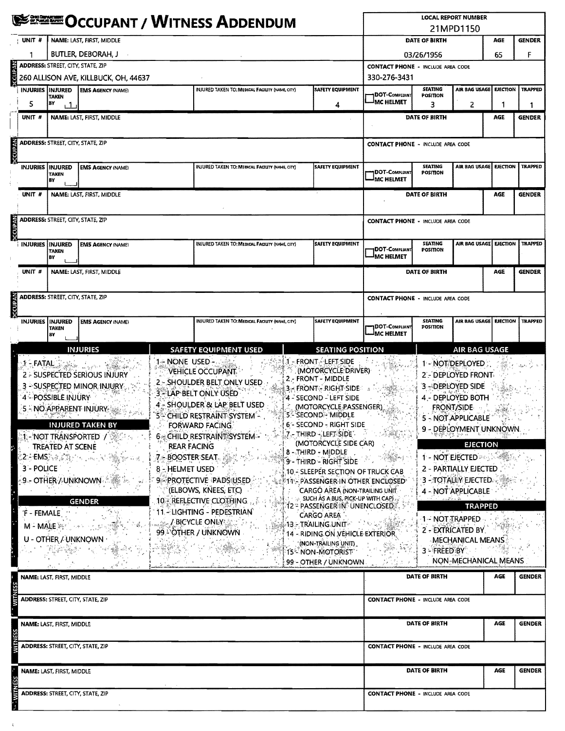|                                                                                                                                                                                                                                                                                                                                               | <b>NITRES ADDENDUM</b>                                                                                                                                                                                                                                                                                                                                                                                                                                                                                                                                                                                                                                                                                                                                                                                                                                  |                                               |                                          |                                                        |                                                                                   |                                                                                                                                                                                                                                                                               |                                                                                                        | <b>LOCAL REPORT NUMBER</b><br>21MPD1150        |                                                                                                                                                         |                                                                                                                                                                           |                 |                |  |  |  |
|-----------------------------------------------------------------------------------------------------------------------------------------------------------------------------------------------------------------------------------------------------------------------------------------------------------------------------------------------|---------------------------------------------------------------------------------------------------------------------------------------------------------------------------------------------------------------------------------------------------------------------------------------------------------------------------------------------------------------------------------------------------------------------------------------------------------------------------------------------------------------------------------------------------------------------------------------------------------------------------------------------------------------------------------------------------------------------------------------------------------------------------------------------------------------------------------------------------------|-----------------------------------------------|------------------------------------------|--------------------------------------------------------|-----------------------------------------------------------------------------------|-------------------------------------------------------------------------------------------------------------------------------------------------------------------------------------------------------------------------------------------------------------------------------|--------------------------------------------------------------------------------------------------------|------------------------------------------------|---------------------------------------------------------------------------------------------------------------------------------------------------------|---------------------------------------------------------------------------------------------------------------------------------------------------------------------------|-----------------|----------------|--|--|--|
|                                                                                                                                                                                                                                                                                                                                               | NAME: LAST, FIRST, MIDDLE<br>UNIT #                                                                                                                                                                                                                                                                                                                                                                                                                                                                                                                                                                                                                                                                                                                                                                                                                     |                                               |                                          |                                                        |                                                                                   |                                                                                                                                                                                                                                                                               |                                                                                                        | DATE OF BIRTH                                  |                                                                                                                                                         | AGE                                                                                                                                                                       | <b>GENDER</b>   |                |  |  |  |
|                                                                                                                                                                                                                                                                                                                                               |                                                                                                                                                                                                                                                                                                                                                                                                                                                                                                                                                                                                                                                                                                                                                                                                                                                         | BUTLER, DEBORAH, J                            |                                          |                                                        |                                                                                   |                                                                                                                                                                                                                                                                               |                                                                                                        |                                                | 03/26/1956                                                                                                                                              |                                                                                                                                                                           |                 |                |  |  |  |
|                                                                                                                                                                                                                                                                                                                                               | <b>ADDRESS: STREET, CITY, STATE, ZIP</b>                                                                                                                                                                                                                                                                                                                                                                                                                                                                                                                                                                                                                                                                                                                                                                                                                |                                               |                                          |                                                        |                                                                                   |                                                                                                                                                                                                                                                                               |                                                                                                        |                                                | 65<br>F<br><b>CONTACT PHONE - INCLUDE AREA CODE</b>                                                                                                     |                                                                                                                                                                           |                 |                |  |  |  |
|                                                                                                                                                                                                                                                                                                                                               |                                                                                                                                                                                                                                                                                                                                                                                                                                                                                                                                                                                                                                                                                                                                                                                                                                                         |                                               | 260 ALLISON AVE, KILLBUCK, OH, 44637     | 330-276-3431                                           |                                                                                   |                                                                                                                                                                                                                                                                               |                                                                                                        |                                                |                                                                                                                                                         |                                                                                                                                                                           |                 |                |  |  |  |
|                                                                                                                                                                                                                                                                                                                                               |                                                                                                                                                                                                                                                                                                                                                                                                                                                                                                                                                                                                                                                                                                                                                                                                                                                         | INJURIES IINJURED<br><b>TAKEN</b>             | <b>EMS AGENCY (NAME)</b>                 |                                                        | INJURED TAKEN TO: MEDICAL FACILITY (NAME, CITY)                                   |                                                                                                                                                                                                                                                                               | SAFETY EQUIPMENT                                                                                       | DOT-COMPLIANT                                  | <b>SEATING</b><br>POSITION                                                                                                                              | AIR BAG USAGE                                                                                                                                                             | <b>EJECTION</b> | <b>TRAPPED</b> |  |  |  |
|                                                                                                                                                                                                                                                                                                                                               | 5.                                                                                                                                                                                                                                                                                                                                                                                                                                                                                                                                                                                                                                                                                                                                                                                                                                                      | В٧<br>i 1                                     |                                          |                                                        |                                                                                   |                                                                                                                                                                                                                                                                               | 4                                                                                                      | <sup>I</sup> MC HELMET                         | 3                                                                                                                                                       | 2                                                                                                                                                                         |                 | 1              |  |  |  |
|                                                                                                                                                                                                                                                                                                                                               | UNIT #                                                                                                                                                                                                                                                                                                                                                                                                                                                                                                                                                                                                                                                                                                                                                                                                                                                  |                                               | NAME: LAST. FIRST. MIDDLE                |                                                        | DATE OF BIRTH                                                                     |                                                                                                                                                                                                                                                                               | AGE                                                                                                    | <b>GENDER</b>                                  |                                                                                                                                                         |                                                                                                                                                                           |                 |                |  |  |  |
|                                                                                                                                                                                                                                                                                                                                               |                                                                                                                                                                                                                                                                                                                                                                                                                                                                                                                                                                                                                                                                                                                                                                                                                                                         |                                               |                                          |                                                        |                                                                                   |                                                                                                                                                                                                                                                                               |                                                                                                        |                                                |                                                                                                                                                         |                                                                                                                                                                           |                 |                |  |  |  |
| <b>DECUPAN</b>                                                                                                                                                                                                                                                                                                                                |                                                                                                                                                                                                                                                                                                                                                                                                                                                                                                                                                                                                                                                                                                                                                                                                                                                         | <b>ADDRESS: STREET, CITY, STATE, ZIP</b>      |                                          |                                                        |                                                                                   |                                                                                                                                                                                                                                                                               |                                                                                                        |                                                | <b>CONTACT PHONE - INCLUDE AREA CODE</b>                                                                                                                |                                                                                                                                                                           |                 |                |  |  |  |
|                                                                                                                                                                                                                                                                                                                                               |                                                                                                                                                                                                                                                                                                                                                                                                                                                                                                                                                                                                                                                                                                                                                                                                                                                         | <b>INJURIES INJURED</b><br><b>TAKEN</b><br>BY | <b>EMS AGENCY (NAME)</b>                 |                                                        | <b>INJURED TAKEN TO: MEDICAL FACILITY (NAME, CITY)</b><br><b>SAFETY EQUIPMENT</b> |                                                                                                                                                                                                                                                                               |                                                                                                        | <b>DOT-COMPLIANT</b><br><sup>J</sup> MC HELMET | <b>SEATING</b><br><b>POSITION</b>                                                                                                                       | AIR BAG USAGE                                                                                                                                                             | <b>EJECTION</b> | <b>TRAPPED</b> |  |  |  |
|                                                                                                                                                                                                                                                                                                                                               | unit #                                                                                                                                                                                                                                                                                                                                                                                                                                                                                                                                                                                                                                                                                                                                                                                                                                                  | NAME: LAST, FIRST, MIDDLE                     |                                          |                                                        |                                                                                   |                                                                                                                                                                                                                                                                               |                                                                                                        |                                                | DATE OF BIRTH                                                                                                                                           |                                                                                                                                                                           |                 |                |  |  |  |
| <b>ARADDIC</b>                                                                                                                                                                                                                                                                                                                                |                                                                                                                                                                                                                                                                                                                                                                                                                                                                                                                                                                                                                                                                                                                                                                                                                                                         |                                               | <b>ADDRESS: STREET, CITY, STATE, ZIP</b> | <b>CONTACT PHONE - INCLUDE AREA CODE</b>               |                                                                                   |                                                                                                                                                                                                                                                                               |                                                                                                        |                                                |                                                                                                                                                         |                                                                                                                                                                           |                 |                |  |  |  |
|                                                                                                                                                                                                                                                                                                                                               | <b>INJURIES INJURED</b><br><b>EMS AGENCY (NAME)</b><br>TAKEN<br>BY                                                                                                                                                                                                                                                                                                                                                                                                                                                                                                                                                                                                                                                                                                                                                                                      |                                               |                                          | <b>INJURED TAKEN TO: MEDICAL FACILITY (NAME, CITY)</b> | <b>SAFETY EQUIPMENT</b>                                                           | DOT-COMPLIANT<br><b>IMC HELMET</b>                                                                                                                                                                                                                                            | <b>SEATING</b><br>POSITION                                                                             | AIR BAG USAGE                                  | <b>EJECTION</b>                                                                                                                                         | <b>TRAPPED</b>                                                                                                                                                            |                 |                |  |  |  |
|                                                                                                                                                                                                                                                                                                                                               | UNIT #                                                                                                                                                                                                                                                                                                                                                                                                                                                                                                                                                                                                                                                                                                                                                                                                                                                  |                                               | NAME: LAST, FIRST, MIDDLE                |                                                        |                                                                                   |                                                                                                                                                                                                                                                                               |                                                                                                        |                                                | <b>DATE OF BIRTH</b>                                                                                                                                    |                                                                                                                                                                           | AGE             | <b>GENDER</b>  |  |  |  |
|                                                                                                                                                                                                                                                                                                                                               |                                                                                                                                                                                                                                                                                                                                                                                                                                                                                                                                                                                                                                                                                                                                                                                                                                                         |                                               | <b>ADDRESS: STREET, CITY, STATE, ZIP</b> | <b>CONTACT PHONE - INCLUDE AREA CODE</b>               |                                                                                   |                                                                                                                                                                                                                                                                               |                                                                                                        |                                                |                                                                                                                                                         |                                                                                                                                                                           |                 |                |  |  |  |
| <b>DECUPAN</b>                                                                                                                                                                                                                                                                                                                                |                                                                                                                                                                                                                                                                                                                                                                                                                                                                                                                                                                                                                                                                                                                                                                                                                                                         |                                               |                                          |                                                        |                                                                                   |                                                                                                                                                                                                                                                                               |                                                                                                        |                                                |                                                                                                                                                         |                                                                                                                                                                           |                 |                |  |  |  |
|                                                                                                                                                                                                                                                                                                                                               |                                                                                                                                                                                                                                                                                                                                                                                                                                                                                                                                                                                                                                                                                                                                                                                                                                                         | INJURIES   INJURED<br><b>TAKEN</b><br>BY      | <b>EMS AGENCY (NAME)</b>                 |                                                        | INJURED TAKEN TO: MEDICAL FACIUTY (NAME, CITY)                                    |                                                                                                                                                                                                                                                                               | <b>SAFETY EQUIPMENT</b>                                                                                | <b>1DOT-COMPLIANT</b><br><b>IMC HELMET</b>     | <b>SEATING</b><br>POSITION                                                                                                                              | AIR BAG USAGE                                                                                                                                                             | <b>EJECTION</b> | <b>TRAPPED</b> |  |  |  |
|                                                                                                                                                                                                                                                                                                                                               |                                                                                                                                                                                                                                                                                                                                                                                                                                                                                                                                                                                                                                                                                                                                                                                                                                                         |                                               | <b>INJURIES</b>                          |                                                        | <b>SAFETY EQUIPMENT USED</b>                                                      |                                                                                                                                                                                                                                                                               | <b>SEATING POSITION</b>                                                                                |                                                |                                                                                                                                                         | <b>AIR BAG USAGE</b>                                                                                                                                                      |                 |                |  |  |  |
|                                                                                                                                                                                                                                                                                                                                               | d' - FRONT - LEFT SIDE<br>1-NONE USED-<br>$\mathcal{A} = \textbf{FATA} \cup \{ \mathcal{B} \} \cup \{ \mathcal{B} \} \cup \{ \mathcal{B} \} \cup \{ \mathcal{B} \}$<br>VEHICLE OCCUPANT<br>(MOTORCYCLE DRIVER)<br>2 - SUSPECTED SERIOUS INJURY<br>2 FRONT - MIDDLE<br>2 - SHOULDER BELT ONLY USED<br>3 - SUSPECTED MINOR INJURY.<br>$3 - FROM = RIGHTSIDE$<br>3 <sup>3</sup> LAP BELT ONLY USED<br>4 POSSIBLE INJURY<br>4 - SECOND - LEFT SIDE<br>4 - SHOULDER & LAP BELT USED<br>(MOTORCYCLE PASSENGER)<br>5 - NO APPARENT INJURY<br><b>5 - SECOND - MIDDLE</b><br>5 CHILD RESTRAINT SYSTEM -<br>DAS GREG<br>6'- SECOND - RIGHT SIDE<br><b>INJURED TAKEN BY</b><br>FORWARD FACING.<br>$1.7-$ third $\sim$ left side $\sim$<br><b>6 CHILD RESTRAINT SYSTEM -</b><br>$\mathbb{R}$ - Not transported $\mathcal{F}$ , $\mathbb{R}$ -<br><b>REAR FACING</b> |                                               |                                          |                                                        |                                                                                   |                                                                                                                                                                                                                                                                               | (MOTORCYCLE SIDE CAR)                                                                                  |                                                |                                                                                                                                                         | 1 - NOT DEPLOYED:<br>2'- DEPLOYED FRONT-<br>3-DERLOYED SIDE<br>4 - DEPLOYED BOTH<br><b>FRONT/SIDE</b><br>5 - NOT APPLICABLE<br>9 - DEPLOYMENT UNKNOWN.<br><b>EJECTION</b> |                 |                |  |  |  |
| <b>TREATED AT SCENE</b><br>2: EMS いながれ …… マー漁 しっと<br>7 BOOSTER SEAT.<br>3 - POLICE<br>8 - HELMET USED<br>9-PROTECTIVE PADS USED.<br>9 - OTHER / UNKNOWN<br>(Elbows, Knees, ETC)<br>10 - REFLECTIVE CLOTHING.<br><b>GENDER</b><br>11 - LIGHTING - PEDESTRIAN <sup>®</sup><br>'F - FEMALE<br><sub>深い</sub> / BICYCLE ONLY 数<br>M - MALE ANGLORY |                                                                                                                                                                                                                                                                                                                                                                                                                                                                                                                                                                                                                                                                                                                                                                                                                                                         |                                               |                                          |                                                        |                                                                                   | 8-THIRD - MIDDLE<br>9 - THIRD - RIGHT SIDE<br>10 - SLEEPER SECTION OF TRUCK CAB<br><b>F11- PASSENGER IN OTHER ENCLOSED</b><br>CARGO AREA (NON-TRAILING UNIT<br>SUCH AS A BUS, PICK-UP WITH CAP).<br>12 = PASSENGER IN UNENCLOSED<br>CARGO AREA<br>$13$ - Trailing unit $\sim$ |                                                                                                        |                                                | 1 - NOT EJECTED<br>2 - PARTIALLY EJECTED<br><b>3 - TOTALLY EJECTED.</b><br>4 - NOT APPLICABLE<br><b>TRAPPED</b><br>1 - NOT TRAPPED<br>2 - EXTRICATED BY |                                                                                                                                                                           |                 |                |  |  |  |
|                                                                                                                                                                                                                                                                                                                                               |                                                                                                                                                                                                                                                                                                                                                                                                                                                                                                                                                                                                                                                                                                                                                                                                                                                         | U - OTHER / UNKNOWN                           |                                          |                                                        | 99. OTHER / UNKNOWN                                                               |                                                                                                                                                                                                                                                                               | 14 - RIDING ON VEHICLE EXTERIOR.<br>'(NON-TRAILING UNIT)<br>15° NON-MOTORIST  <br>99 - OTHER / UNKNOWN |                                                | $3 - FREED$ $BY$                                                                                                                                        | MECHANICAL MEANS.<br>NON-MECHANICAL MEANS                                                                                                                                 |                 |                |  |  |  |
|                                                                                                                                                                                                                                                                                                                                               |                                                                                                                                                                                                                                                                                                                                                                                                                                                                                                                                                                                                                                                                                                                                                                                                                                                         | NAME: LAST, FIRST, MIDDLE                     |                                          |                                                        |                                                                                   |                                                                                                                                                                                                                                                                               |                                                                                                        |                                                | DATE OF BIRTH                                                                                                                                           |                                                                                                                                                                           | AGE             | <b>GENDER</b>  |  |  |  |
| MLM                                                                                                                                                                                                                                                                                                                                           |                                                                                                                                                                                                                                                                                                                                                                                                                                                                                                                                                                                                                                                                                                                                                                                                                                                         |                                               | <b>ADDRESS: STREET, CITY, STATE, ZIP</b> |                                                        |                                                                                   |                                                                                                                                                                                                                                                                               |                                                                                                        | <b>CONTACT PHONE - INCLUDE AREA CODE</b>       |                                                                                                                                                         |                                                                                                                                                                           |                 |                |  |  |  |
|                                                                                                                                                                                                                                                                                                                                               |                                                                                                                                                                                                                                                                                                                                                                                                                                                                                                                                                                                                                                                                                                                                                                                                                                                         | NAME: LAST, FIRST, MIDDLE                     |                                          |                                                        |                                                                                   |                                                                                                                                                                                                                                                                               |                                                                                                        |                                                | DATE OF BIRTH                                                                                                                                           |                                                                                                                                                                           | AGE             | <b>GENDER</b>  |  |  |  |
|                                                                                                                                                                                                                                                                                                                                               | <b>ADDRESS: STREET, CITY, STATE, ZIP</b>                                                                                                                                                                                                                                                                                                                                                                                                                                                                                                                                                                                                                                                                                                                                                                                                                |                                               |                                          |                                                        |                                                                                   |                                                                                                                                                                                                                                                                               |                                                                                                        | <b>CONTACT PHONE - INCLUDE AREA CODE</b>       |                                                                                                                                                         |                                                                                                                                                                           |                 |                |  |  |  |
|                                                                                                                                                                                                                                                                                                                                               | NAME: LAST, FIRST, MIDDLE                                                                                                                                                                                                                                                                                                                                                                                                                                                                                                                                                                                                                                                                                                                                                                                                                               |                                               |                                          |                                                        |                                                                                   |                                                                                                                                                                                                                                                                               |                                                                                                        | DATE OF BIRTH                                  |                                                                                                                                                         | <b>AGE</b>                                                                                                                                                                | <b>GENDER</b>   |                |  |  |  |
| <b>MINE</b>                                                                                                                                                                                                                                                                                                                                   | <b>ADDRESS: STREET, CITY, STATE, ZIP</b>                                                                                                                                                                                                                                                                                                                                                                                                                                                                                                                                                                                                                                                                                                                                                                                                                |                                               |                                          |                                                        |                                                                                   |                                                                                                                                                                                                                                                                               |                                                                                                        | <b>CONTACT PHONE - INCLUDE AREA CODE</b>       |                                                                                                                                                         |                                                                                                                                                                           |                 |                |  |  |  |

 $\sim$